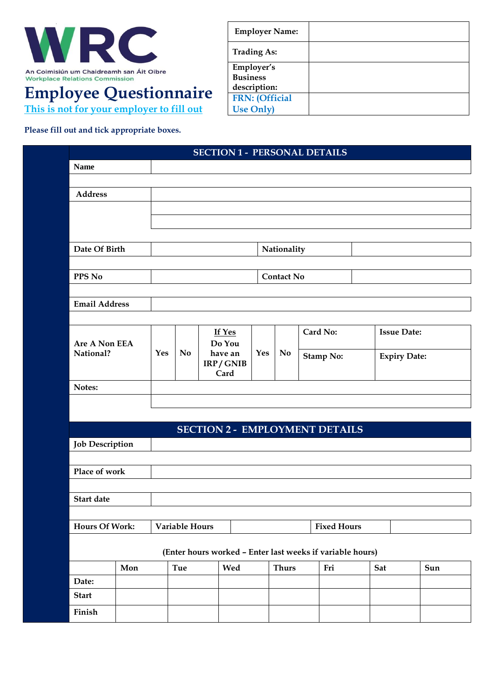

## **Employee Questionnaire**

**This is not for your employer to fill out**

**Employer Name: Trading As: Employer's Business description: FRN: (Official Use Only)**

**Please fill out and tick appropriate boxes.**

|                            |     |                       |         | <b>SECTION 1 - PERSONAL DETAILS</b> |           |                  |  |                                                           |     |                    |     |  |
|----------------------------|-----|-----------------------|---------|-------------------------------------|-----------|------------------|--|-----------------------------------------------------------|-----|--------------------|-----|--|
| <b>Name</b>                |     |                       |         |                                     |           |                  |  |                                                           |     |                    |     |  |
| <b>Address</b>             |     |                       |         |                                     |           |                  |  |                                                           |     |                    |     |  |
|                            |     |                       |         |                                     |           |                  |  |                                                           |     |                    |     |  |
|                            |     |                       |         |                                     |           |                  |  |                                                           |     |                    |     |  |
|                            |     |                       |         |                                     |           |                  |  |                                                           |     |                    |     |  |
| Date Of Birth              |     |                       |         |                                     |           | Nationality      |  |                                                           |     |                    |     |  |
|                            |     |                       |         |                                     |           |                  |  |                                                           |     |                    |     |  |
| PPS No                     |     | <b>Contact No</b>     |         |                                     |           |                  |  |                                                           |     |                    |     |  |
| <b>Email Address</b>       |     |                       |         |                                     |           |                  |  |                                                           |     |                    |     |  |
|                            |     |                       |         |                                     |           |                  |  |                                                           |     |                    |     |  |
| Are A Non EEA<br>National? |     |                       |         | If Yes<br>Do You                    |           |                  |  | Card No:                                                  |     | <b>Issue Date:</b> |     |  |
|                            |     | N <sub>o</sub><br>Yes | have an | Yes                                 | <b>No</b> | <b>Stamp No:</b> |  | <b>Expiry Date:</b>                                       |     |                    |     |  |
|                            |     | IRP/GNIB<br>Card      |         |                                     |           |                  |  |                                                           |     |                    |     |  |
| Notes:                     |     |                       |         |                                     |           |                  |  |                                                           |     |                    |     |  |
|                            |     |                       |         |                                     |           |                  |  |                                                           |     |                    |     |  |
|                            |     |                       |         |                                     |           |                  |  |                                                           |     |                    |     |  |
|                            |     |                       |         |                                     |           |                  |  | <b>SECTION 2 - EMPLOYMENT DETAILS</b>                     |     |                    |     |  |
| <b>Job Description</b>     |     |                       |         |                                     |           |                  |  |                                                           |     |                    |     |  |
| Place of work              |     |                       |         |                                     |           |                  |  |                                                           |     |                    |     |  |
|                            |     |                       |         |                                     |           |                  |  |                                                           |     |                    |     |  |
| <b>Start date</b>          |     |                       |         |                                     |           |                  |  |                                                           |     |                    |     |  |
|                            |     |                       |         |                                     |           |                  |  |                                                           |     |                    |     |  |
| <b>Hours Of Work:</b>      |     | Variable Hours        |         |                                     |           |                  |  | <b>Fixed Hours</b>                                        |     |                    |     |  |
|                            |     |                       |         |                                     |           |                  |  | (Enter hours worked - Enter last weeks if variable hours) |     |                    |     |  |
|                            | Mon |                       | Tue     |                                     | Wed       | <b>Thurs</b>     |  | Fri                                                       | Sat |                    | Sun |  |
| Date:                      |     |                       |         |                                     |           |                  |  |                                                           |     |                    |     |  |
| <b>Start</b>               |     |                       |         |                                     |           |                  |  |                                                           |     |                    |     |  |
| Finish                     |     |                       |         |                                     |           |                  |  |                                                           |     |                    |     |  |